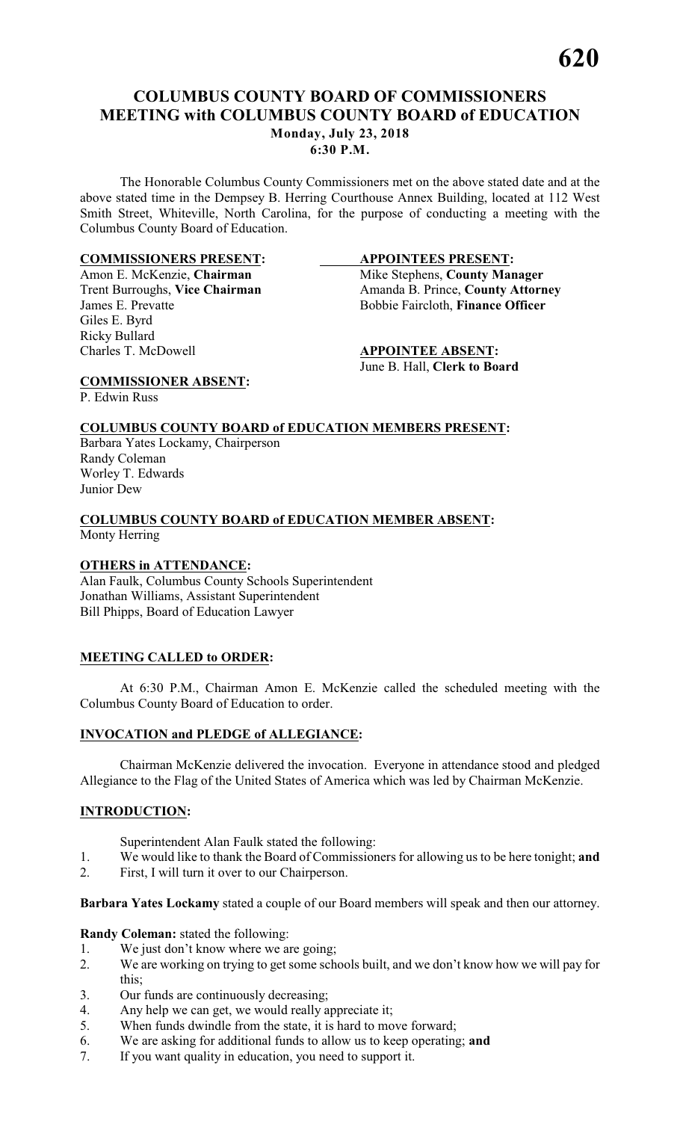### **COLUMBUS COUNTY BOARD OF COMMISSIONERS MEETING with COLUMBUS COUNTY BOARD of EDUCATION Monday, July 23, 2018 6:30 P.M.**

The Honorable Columbus County Commissioners met on the above stated date and at the above stated time in the Dempsey B. Herring Courthouse Annex Building, located at 112 West Smith Street, Whiteville, North Carolina, for the purpose of conducting a meeting with the Columbus County Board of Education.

### **COMMISSIONERS PRESENT:**<br>
Amon E. McKenzie, Chairman Mike Stephens, County Mar

Giles E. Byrd Ricky Bullard Charles T. McDowell **APPOINTEE ABSENT:**

Amon E. McKenzie, **Chairman** Mike Stephens, **County Manager** Trent Burroughs, Vice Chairman **Manager** Amanda B. Prince, **County Attorn** Amanda B. Prince, **County Attorney** James E. Prevatte Bobbie Faircloth, **Finance Officer**

June B. Hall, **Clerk to Board**

**COMMISSIONER ABSENT:** P. Edwin Russ

### **COLUMBUS COUNTY BOARD of EDUCATION MEMBERS PRESENT:**

Barbara Yates Lockamy, Chairperson Randy Coleman Worley T. Edwards Junior Dew

#### **COLUMBUS COUNTY BOARD of EDUCATION MEMBER ABSENT:** Monty Herring

#### **OTHERS in ATTENDANCE:**

Alan Faulk, Columbus County Schools Superintendent Jonathan Williams, Assistant Superintendent Bill Phipps, Board of Education Lawyer

#### **MEETING CALLED to ORDER:**

At 6:30 P.M., Chairman Amon E. McKenzie called the scheduled meeting with the Columbus County Board of Education to order.

#### **INVOCATION and PLEDGE of ALLEGIANCE:**

Chairman McKenzie delivered the invocation. Everyone in attendance stood and pledged Allegiance to the Flag of the United States of America which was led by Chairman McKenzie.

#### **INTRODUCTION:**

Superintendent Alan Faulk stated the following:

- 1. We would like to thank the Board of Commissioners for allowing us to be here tonight; **and**<br>2. First, I will turn it over to our Chairnerson.
- First, I will turn it over to our Chairperson.

**Barbara Yates Lockamy** stated a couple of our Board members will speak and then our attorney.

**Randy Coleman:** stated the following:

- 1. We just don't know where we are going;
- 2. We are working on trying to get some schools built, and we don't know how we will pay for this;
- 3. Our funds are continuously decreasing;
- 4. Any help we can get, we would really appreciate it;<br>5. When funds dwindle from the state, it is hard to mo
- When funds dwindle from the state, it is hard to move forward;
- 6. We are asking for additional funds to allow us to keep operating; **and**
- 7. If you want quality in education, you need to support it.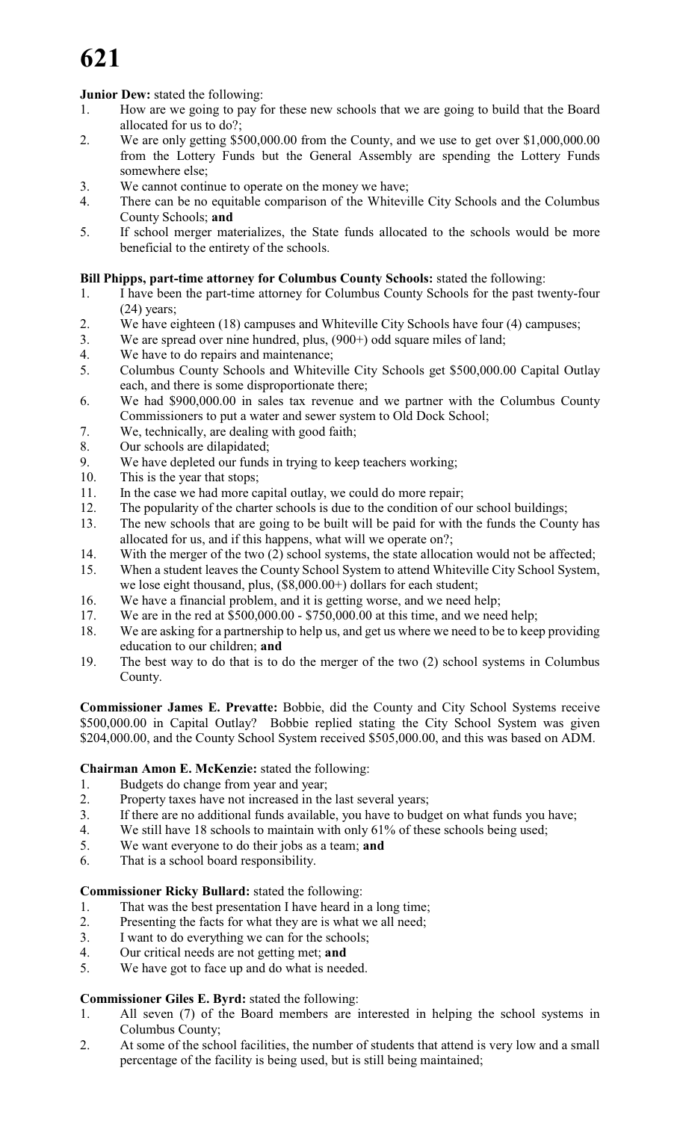# **621**

### **Junior Dew:** stated the following:

- 1. How are we going to pay for these new schools that we are going to build that the Board allocated for us to do?;
- 2. We are only getting \$500,000.00 from the County, and we use to get over \$1,000,000.00 from the Lottery Funds but the General Assembly are spending the Lottery Funds somewhere else;
- 3. We cannot continue to operate on the money we have;
- 4. There can be no equitable comparison of the Whiteville City Schools and the Columbus County Schools; **and**
- 5. If school merger materializes, the State funds allocated to the schools would be more beneficial to the entirety of the schools.

### **Bill Phipps, part-time attorney for Columbus County Schools:** stated the following:

- 1. I have been the part-time attorney for Columbus County Schools for the past twenty-four (24) years;
- 2. We have eighteen (18) campuses and Whiteville City Schools have four (4) campuses;
- 3. We are spread over nine hundred, plus, (900+) odd square miles of land;
- 4. We have to do repairs and maintenance;
- 5. Columbus County Schools and Whiteville City Schools get \$500,000.00 Capital Outlay each, and there is some disproportionate there;
- 6. We had \$900,000.00 in sales tax revenue and we partner with the Columbus County Commissioners to put a water and sewer system to Old Dock School;
- 7. We, technically, are dealing with good faith;
- 8. Our schools are dilapidated;
- 9. We have depleted our funds in trying to keep teachers working;
- 10. This is the year that stops;
- 11. In the case we had more capital outlay, we could do more repair;
- 12. The popularity of the charter schools is due to the condition of our school buildings;
- 13. The new schools that are going to be built will be paid for with the funds the County has allocated for us, and if this happens, what will we operate on?;
- 14. With the merger of the two (2) school systems, the state allocation would not be affected;
- 15. When a student leaves the County School System to attend Whiteville City School System, we lose eight thousand, plus, (\$8,000.00+) dollars for each student;
- 16. We have a financial problem, and it is getting worse, and we need help;
- 17. We are in the red at \$500,000.00 \$750,000.00 at this time, and we need help;
- 18. We are asking for a partnership to help us, and get us where we need to be to keep providing education to our children; **and**
- 19. The best way to do that is to do the merger of the two (2) school systems in Columbus County.

**Commissioner James E. Prevatte:** Bobbie, did the County and City School Systems receive \$500,000.00 in Capital Outlay? Bobbie replied stating the City School System was given \$204,000.00, and the County School System received \$505,000.00, and this was based on ADM.

#### **Chairman Amon E. McKenzie:** stated the following:

- 1. Budgets do change from year and year;
- 2. Property taxes have not increased in the last several years;
- 3. If there are no additional funds available, you have to budget on what funds you have;
- 4. We still have 18 schools to maintain with only 61% of these schools being used;
- 5. We want everyone to do their jobs as a team; **and**
- 6. That is a school board responsibility.

#### **Commissioner Ricky Bullard:** stated the following:

- 1. That was the best presentation I have heard in a long time;
- 2. Presenting the facts for what they are is what we all need;
- 3. I want to do everything we can for the schools;
- 4. Our critical needs are not getting met; **and**
- 5. We have got to face up and do what is needed.

#### **Commissioner Giles E. Byrd:** stated the following:

- 1. All seven (7) of the Board members are interested in helping the school systems in Columbus County;
- 2. At some of the school facilities, the number of students that attend is very low and a small percentage of the facility is being used, but is still being maintained;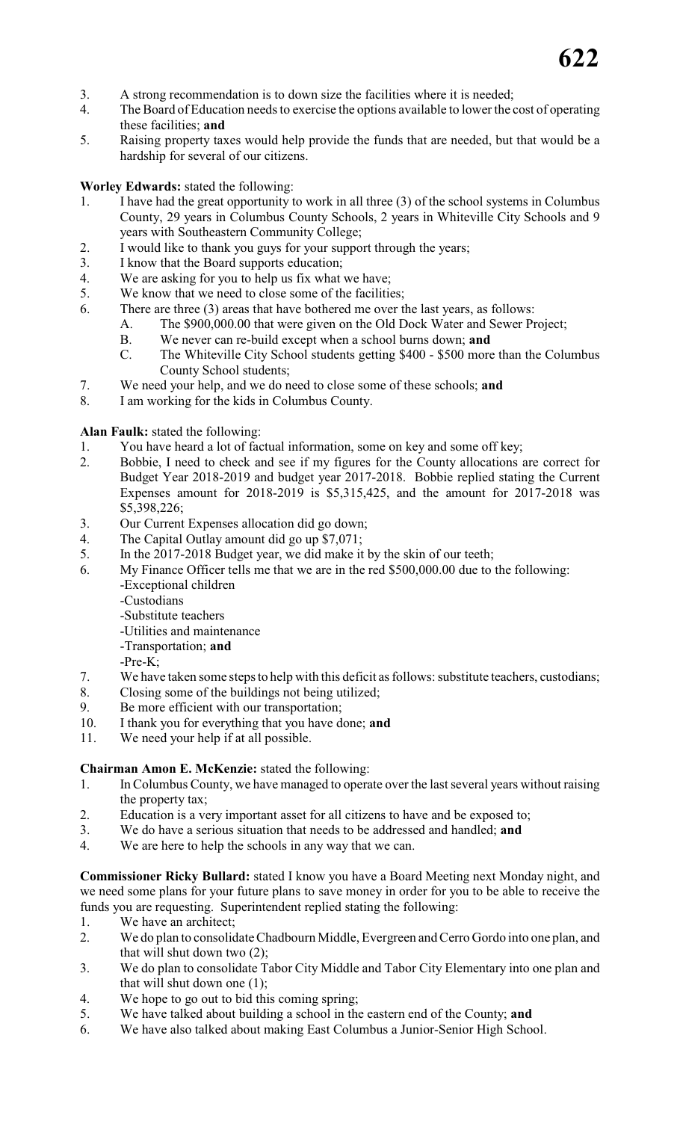- 3. A strong recommendation is to down size the facilities where it is needed;
- 4. The Board of Education needs to exercise the options available to lower the cost of operating these facilities; **and**
- 5. Raising property taxes would help provide the funds that are needed, but that would be a hardship for several of our citizens.

#### **Worley Edwards:** stated the following:

- 1. I have had the great opportunity to work in all three (3) of the school systems in Columbus County, 29 years in Columbus County Schools, 2 years in Whiteville City Schools and 9 years with Southeastern Community College;
- 2. I would like to thank you guys for your support through the years;
- 3. I know that the Board supports education;
- 4. We are asking for you to help us fix what we have;
- 5. We know that we need to close some of the facilities;
- 6. There are three (3) areas that have bothered me over the last years, as follows:
	- A. The \$900,000.00 that were given on the Old Dock Water and Sewer Project;
	- B. We never can re-build except when a school burns down; **and**
	- C. The Whiteville City School students getting \$400 \$500 more than the Columbus County School students;
- 7. We need your help, and we do need to close some of these schools; **and**
- 8. I am working for the kids in Columbus County.

#### **Alan Faulk:** stated the following:

- 1. You have heard a lot of factual information, some on key and some off key;<br>2. Bobbie. I need to check and see if my figures for the County allocations a
- 2. Bobbie, I need to check and see if my figures for the County allocations are correct for Budget Year 2018-2019 and budget year 2017-2018. Bobbie replied stating the Current Expenses amount for 2018-2019 is \$5,315,425, and the amount for 2017-2018 was \$5,398,226;
- 3. Our Current Expenses allocation did go down;
- 4. The Capital Outlay amount did go up \$7,071;
- 5. In the 2017-2018 Budget year, we did make it by the skin of our teeth;
- 6. My Finance Officer tells me that we are in the red \$500,000.00 due to the following:
	- -Exceptional children
		- -Custodians
		- -Substitute teachers
		- -Utilities and maintenance
		- -Transportation; **and**
		- -Pre-K;
- 7. We have taken some stepsto help with this deficit as follows: substitute teachers, custodians;
- 8. Closing some of the buildings not being utilized;
- 9. Be more efficient with our transportation;
- 10. I thank you for everything that you have done; **and**
- 11. We need your help if at all possible.

#### **Chairman Amon E. McKenzie:** stated the following:

- 1. In Columbus County, we have managed to operate over the last several years without raising the property tax;
- 2. Education is a very important asset for all citizens to have and be exposed to;
- 3. We do have a serious situation that needs to be addressed and handled; **and**
- 4. We are here to help the schools in any way that we can.

**Commissioner Ricky Bullard:** stated I know you have a Board Meeting next Monday night, and we need some plans for your future plans to save money in order for you to be able to receive the funds you are requesting. Superintendent replied stating the following:

- 1. We have an architect;
- 2. We do plan to consolidate Chadbourn Middle, Evergreen and Cerro Gordo into one plan, and that will shut down two (2);
- 3. We do plan to consolidate Tabor City Middle and Tabor City Elementary into one plan and that will shut down one (1);
- 4. We hope to go out to bid this coming spring;
- 5. We have talked about building a school in the eastern end of the County; **and**
- 6. We have also talked about making East Columbus a Junior-Senior High School.